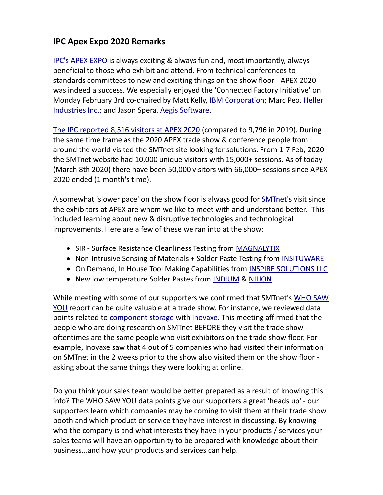## **IPC Apex Expo 2020 Remarks**

[IPC's APEX EXPO](https://www.ipcapexexpo.org/) is always exciting & always fun and, most importantly, always beneficial to those who exhibit and attend. From technical conferences to standards committees to new and exciting things on the show floor - APEX 2020 was indeed a success. We especially enjoyed the 'Connected Factory Initiative' on Monday February 3rd co-chaired by Matt Kelly, [IBM Corporation;](https://smtnet.com/company/index.cfm?fuseaction=view_company&company_id=46865) Marc Peo, [Heller](https://smtnet.com/company/index.cfm?fuseaction=view_company&company_id=46969)  [Industries Inc.;](https://smtnet.com/company/index.cfm?fuseaction=view_company&company_id=46969) and Jason Spera, [Aegis Software.](https://smtnet.com/company/index.cfm?fuseaction=view_company&company_id=41427)

[The IPC reported 8,516 visitors at APEX 2020](http://www.ipc.org/ContentPage.aspx?Pageid=Electronics-Industry-Elevates-its-Excellence-at-IPC-APEX-EXPO-2020) (compared to 9,796 in 2019). During the same time frame as the 2020 APEX trade show & conference people from around the world visited the SMTnet site looking for solutions. From 1-7 Feb, 2020 the SMTnet website had 10,000 unique visitors with 15,000+ sessions. As of today (March 8th 2020) there have been 50,000 visitors with 66,000+ sessions since APEX 2020 ended (1 month's time).

A somewhat 'slower pace' on the show floor is always good for [SMTnet'](https://smtnet.com/)s visit since the exhibitors at APEX are whom we like to meet with and understand better. This included learning about new & disruptive technologies and technological improvements. Here are a few of these we ran into at the show:

- SIR Surface Resistance Cleanliness Testing from [MAGNALYTIX](https://smtnet.com/company/index.cfm?fuseaction=view_company&company_id=58555)
- Non-Intrusive Sensing of Materials + Solder Paste Testing from [INSITUWARE](https://smtnet.com/company/index.cfm?fuseaction=view_company&company_id=58491)
- On Demand, In House Tool Making Capabilities from [INSPIRE SOLUTIONS LLC](https://smtnet.com/company/index.cfm?fuseaction=view_company&company_id=58556)
- New low temperature Solder Pastes from [INDIUM](https://smtnet.com/company/index.cfm?fuseaction=view_company&company_id=41462) & [NIHON](https://smtnet.com/company/index.cfm?fuseaction=view_company&company_id=51327)

While meeting with some of our supporters we confirmed that SMTnet's [WHO SAW](https://smtnet.com/advertising/index.cfm?fuseaction=details§ion=WHO#submenu) [YOU](https://smtnet.com/advertising/index.cfm?fuseaction=details§ion=WHO#submenu) report can be quite valuable at a trade show. For instance, we reviewed data points related to [component storage](https://smtnet.com/index.cfm?fuseaction=search_submit&searchstring=component+storage&collection=site_industry_directory) with **Inovaxe**. This meeting affirmed that the people who are doing research on SMTnet BEFORE they visit the trade show oftentimes are the same people who visit exhibitors on the trade show floor. For example, Inovaxe saw that 4 out of 5 companies who had visited their information on SMTnet in the 2 weeks prior to the show also visited them on the show floor asking about the same things they were looking at online.

Do you think your sales team would be better prepared as a result of knowing this info? The WHO SAW YOU data points give our supporters a great 'heads up' - our supporters learn which companies may be coming to visit them at their trade show booth and which product or service they have interest in discussing. By knowing who the company is and what interests they have in your products / services your sales teams will have an opportunity to be prepared with knowledge about their business...and how your products and services can help.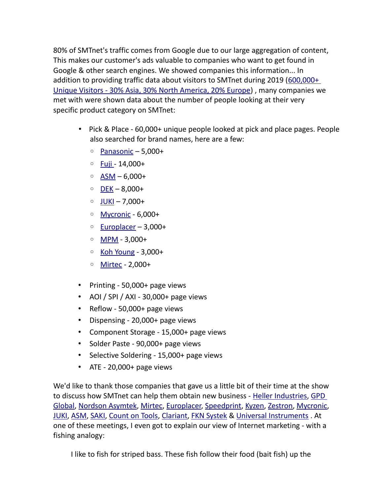80% of SMTnet's traffic comes from Google due to our large aggregation of content, This makes our customer's ads valuable to companies who want to get found in Google & other search engines. We showed companies this information... In addition to providing traffic data about visitors to SMTnet during 2019 [\(600,000+](https://smtnet.com/advertising/SMTnet-Media-Kit-2020.pdf)  [Unique Visitors - 30% Asia, 30% North America, 20% Europe\)](https://smtnet.com/advertising/SMTnet-Media-Kit-2020.pdf) , many companies we met with were shown data about the number of people looking at their very specific product category on SMTnet:

- Pick & Place 60,000+ unique people looked at pick and place pages. People also searched for brand names, here are a few:
	- [Panasonic](https://smtnet.com/company/index.cfm?fuseaction=view_company&company_id=51237)  5,000+
	- [Fuji -](https://smtnet.com/company/index.cfm?fuseaction=view_company&company_id=48274) 14,000+
	- [ASM](https://smtnet.com/company/index.cfm?fuseaction=view_company&company_id=50127)  6,000+
	- [DEK](https://smtnet.com/company/index.cfm?fuseaction=view_company&company_id=46980)  8,000+
	- [JUKI](https://smtnet.com/company/index.cfm?fuseaction=view_company&company_id=45909)  7,000+
	- [Mycronic](https://smtnet.com/company/index.cfm?fuseaction=view_company&company_id=43644)  6,000+
	- [Europlacer](https://smtnet.com/company/index.cfm?fuseaction=view_company&company_id=49509)  3,000+
	- [MPM](https://smtnet.com/company/index.cfm?fuseaction=view_company&company_id=57407)  3,000+
	- [Koh Young](https://smtnet.com/company/index.cfm?fuseaction=view_company&company_id=53729)  3,000+
	- [Mirtec](https://smtnet.com/company/index.cfm?fuseaction=view_company&company_id=49418)  2,000+
- Printing 50,000+ page views
- AOI / SPI / AXI 30,000+ page views
- Reflow 50,000+ page views
- Dispensing 20,000+ page views
- Component Storage 15,000+ page views
- Solder Paste 90,000+ page views
- Selective Soldering 15,000+ page views
- ATE 20,000+ page views

We'd like to thank those companies that gave us a little bit of their time at the show to discuss how SMTnet can help them obtain new business - [Heller Industries,](https://smtnet.com/company/index.cfm?fuseaction=view_company&company_id=46969) [GPD](https://smtnet.com/company/index.cfm?fuseaction=view_company&company_id=46130)  [Global,](https://smtnet.com/company/index.cfm?fuseaction=view_company&company_id=46130) [Nordson Asymtek,](https://smtnet.com/company/index.cfm?fuseaction=view_company&company_id=46877) [Mirtec,](https://smtnet.com/company/index.cfm?fuseaction=view_company&company_id=49418) [Europlacer,](https://smtnet.com/company/index.cfm?fuseaction=view_company&company_id=49509) [Speedprint,](https://smtnet.com/company/index.cfm?fuseaction=view_company&company_id=40510) [Kyzen,](https://smtnet.com/company/index.cfm?fuseaction=view_company&company_id=41143) [Zestron,](https://smtnet.com/company/index.cfm?fuseaction=view_company&company_id=48724) [Mycronic,](https://smtnet.com/company/index.cfm?fuseaction=view_company&company_id=43644) [JUKI,](https://smtnet.com/company/index.cfm?fuseaction=view_company&company_id=45909) [ASM,](https://smtnet.com/company/index.cfm?fuseaction=view_company&company_id=50127) [SAKI,](https://smtnet.com/company/index.cfm?fuseaction=view_company&company_id=52657) [Count on Tools,](https://smtnet.com/company/index.cfm?fuseaction=view_company&company_id=51639) [Clariant,](https://smtnet.com/company/index.cfm?fuseaction=view_company&company_id=57664) [FKN Systek](https://smtnet.com/company/index.cfm?fuseaction=view_company&company_id=44053) & [Universal Instruments](https://smtnet.com/company/index.cfm?fuseaction=view_company&company_id=46383) . At one of these meetings, I even got to explain our view of Internet marketing - with a fishing analogy:

I like to fish for striped bass. These fish follow their food (bait fish) up the